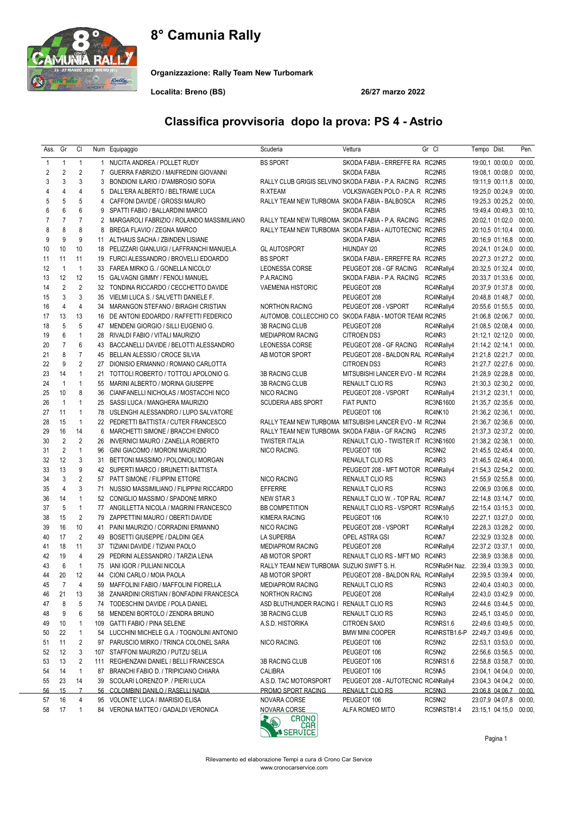# 8° Camunia Rally



Organizzazione: Rally Team New Turbomark

Localita: Breno (BS) 26/27 marzo 2022

### Classifica provvisoria dopo la prova: PS 4 - Astrio

| Ass.           | Gr             | CI             |                | Num Equipaggio                               | Scuderia                                       | Vettura                                                    | Gr Cl          | Tempo Dist.                          | Pen.   |
|----------------|----------------|----------------|----------------|----------------------------------------------|------------------------------------------------|------------------------------------------------------------|----------------|--------------------------------------|--------|
| $\mathbf{1}$   | $\mathbf{1}$   | $\mathbf{1}$   |                | 1 NUCITA ANDREA / POLLET RUDY                | <b>BS SPORT</b>                                | SKODA FABIA - ERREFFE RA RC2NR5                            |                | 19:00,1 00:00,0                      | 00:00, |
| 2              | 2              | $\overline{2}$ | $\overline{7}$ | GUERRA FABRIZIO / MAIFREDINI GIOVANNI        |                                                | <b>SKODA FABIA</b>                                         | RC2NR5         | 19:08,1 00:08,0                      | 00:00, |
| 3              | 3              | 3              | 3              | BONDIONI ILARIO / D'AMBROSIO SOFIA           |                                                | RALLY CLUB GRIGIS SELVINO SKODA FABIA - P.A. RACING RC2NR5 |                | 19:11,9 00:11,8                      | 00:00, |
| 4              | 4              | 4              |                | 5 DALL'ERA ALBERTO / BELTRAME LUCA           | R-XTEAM                                        | VOLKSWAGEN POLO - P.A. R RC2NR5                            |                | 19:25,0 00:24,9                      | 00:00, |
| 5              | 5              | 5              | 4              | CAFFONI DAVIDE / GROSSI MAURO                | RALLY TEAM NEW TURBOMA SKODA FABIA - BALBOSCA  |                                                            | RC2NR5         | 19:25,3 00:25,2                      | 00:00, |
| 6              | 6              | 6              | 9              | SPATTI FABIO / BALLARDINI MARCO              |                                                | SKODA FABIA                                                | RC2NR5         | 19:49,4 00:49,3                      | 00:10, |
| $\overline{7}$ | $\overline{7}$ | $\overline{7}$ |                | 2 MARGAROLI FABRIZIO / ROLANDO MASSIMILIANO  |                                                | RALLY TEAM NEW TURBOMA SKODA FABIA - P.A. RACING RC2NR5    |                | 20:02,1 01:02,0                      | 00:00, |
| 8              | 8              | 8              | 8              | BREGA FLAVIO / ZEGNA MARCO                   |                                                | RALLY TEAM NEW TURBOMA SKODA FABIA - AUTOTECNIC RC2NR5     |                | 20:10,5 01:10,4                      | 00:00, |
| 9              | 9              | 9              | 11             | ALTHAUS SACHA / ZBINDEN LISIANE              |                                                | <b>SKODA FABIA</b>                                         | RC2NR5         | 20:16,9 01:16,8                      | 00:00, |
| 10             | 10             | 10             | 18             | PELIZZARI GIANLUIGI / LAFFRANCHI MANUELA     | <b>GL AUTOSPORT</b>                            | HIUNDAY 120                                                | RC2NR5         | 20:24,1 01:24,0                      | 00:00, |
| 11             | 11             | 11             | 19             | FURCI ALESSANDRO / BROVELLI EDOARDO          | <b>BS SPORT</b>                                | SKODA FABIA - ERREFFE RA RC2NR5                            |                | 20:27,3 01:27,2 00:00,               |        |
| 12             | $\overline{1}$ | $\overline{1}$ |                | 33 FAREA MIRKO G. / GONELLA NICOLO'          | LEONESSA CORSE                                 | PEUGEOT 208 - GF RACING                                    | RC4NRally4     | 20:32,5 01:32,4                      | 00:00, |
| 13             | 12             | 12             |                | 15 GALVAGNI GIMMY / FENOLI MANUEL            | P.A.RACING                                     | SKODA FABIA - P.A. RACING                                  | RC2NR5         | 20:33,7 01:33,6                      | 00:00, |
| 14             | $\overline{2}$ | $\overline{2}$ |                | 32 TONDINA RICCARDO / CECCHETTO DAVIDE       | <b>VAEMENIA HISTORIC</b>                       | PEUGEOT 208                                                | RC4NRally4     | 20:37,9 01:37,8                      | 00:00, |
| 15             | 3              | 3              |                | 35 VIELMI LUCA S. / SALVETTI DANIELE F.      |                                                | PEUGEOT 208                                                | RC4NRally4     | 20:48,8 01:48,7                      | 00:00, |
| 16             | $\overline{4}$ | $\overline{4}$ | 34             | MARANGON STEFANO / BIRAGHI CRISTIAN          | <b>NORTHON RACING</b>                          | PEUGEOT 208 - VSPORT                                       | RC4NRally4     | 20:55,6 01:55,5                      | 00:00, |
| 17             | 13             | 13             | 16             | DE ANTONI EDOARDO / RAFFETTI FEDERICO        |                                                | AUTOMOB. COLLECCHIO CO SKODA FABIA - MOTOR TEAM RC2NR5     |                | 21:06,8 02:06,7                      | 00:00, |
| 18             | 5              | 5              | 47             | MENDENI GIORGIO / SILLI EUGENIO G.           | <b>3B RACING CLUB</b>                          | PEUGEOT 208                                                | RC4NRally4     | 21:08,5 02:08,4                      | 00:00, |
| 19             | 6              | $\mathbf{1}$   | 28             | RIVALDI FABIO / VITALI MAURIZIO              | <b>MEDIAPROM RACING</b>                        | CITROEN DS3                                                | RC4NR3         | 21:12,1 02:12,0                      | 00:00, |
| 20             | $\overline{7}$ | 6              | 43             | BACCANELLI DAVIDE / BELOTTI ALESSANDRO       | LEONESSA CORSE                                 | PEUGEOT 208 - GF RACING                                    | RC4NRally4     | 21:14,2 02:14,1                      | 00:00, |
| 21             | 8              | $\overline{7}$ | 45             | BELLAN ALESSIO / CROCE SILVIA                | AB MOTOR SPORT                                 | PEUGEOT 208 - BALDON RAL RC4NRally4                        |                | 21:21,8 02:21,7                      | 00:00, |
| 22             | 9              | $\overline{2}$ | 27             | DIONISIO ERMANNO / ROMANO CARLOTTA           |                                                | <b>CITROEN DS3</b>                                         | RC4NR3         | 21:27,7 02:27,6                      | 00:00, |
| 23             | 14             | $\mathbf{1}$   | 21             | TOTTOLI ROBERTO / TOTTOLI APOLONIO G.        | 3B RACING CLUB                                 | MITSUBISHI LANCER EVO - M RC2NR4                           |                | 21:28,9 02:28,8                      | 00:00, |
| 24             | $\mathbf{1}$   | $\mathbf{1}$   |                | 55 MARINI ALBERTO / MORINA GIUSEPPE          | 3B RACING CLUB                                 | RENAULT CLIO RS                                            | RC5NN3         | 21:30,3 02:30,2                      | 00:00, |
| 25             | 10             | 8              | 36             | CIANFANELLI NICHOLAS / MOSTACCHI NICO        | <b>NICO RACING</b>                             | PEUGEOT 208 - VSPORT                                       | RC4NRally4     | 21:31,2 02:31,1                      | 00:00, |
| 26             | $\mathbf{1}$   | $\mathbf{1}$   | 25             | SASSI LUCA / MANGHERA MAURIZIO               | <b>SCUDERIA ABS SPORT</b>                      | <b>FIAT PUNTO</b>                                          | RC3NS1600      | 21:35,7 02:35,6                      | 00:00, |
| 27             | 11             | $\mathbf{1}$   | 78             | USLENGHI ALESSANDRO / LUPO SALVATORE         |                                                | PEUGEOT 106                                                | <b>RC4NK10</b> | 21:36,2 02:36,1                      | 00:00, |
| 28             | 15             | $\overline{1}$ |                | 22 PEDRETTI BATTISTA / CUTER FRANCESCO       |                                                | RALLY TEAM NEW TURBOMA MITSUBISHI LANCER EVO - M RC2NN4    |                | 21:36,7 02:36,6                      | 00:00, |
| 29             | 16             | 14             | 6              | MARCHETTI SIMONE / BRACCHI ENRICO            | RALLY TEAM NEW TURBOMA SKODA FABIA - GF RACING |                                                            | RC2NR5         | 21:37,3 02:37,2                      | 00:00, |
| 30             | $\overline{2}$ | $\overline{2}$ | 26             | INVERNICI MAURO / ZANELLA ROBERTO            | <b>TWISTER ITALIA</b>                          | RENAULT CLIO - TWISTER IT RC3NS1600                        |                | 21:38,2 02:38,1                      | 00:00, |
| 31             | $\overline{2}$ | $\overline{1}$ | 96             | GINI GIACOMO / MORONI MAURIZIO               | NICO RACING.                                   | PEUGEOT 106                                                | RC5NN2         | 21:45,5 02:45,4                      | 00:00, |
| 32             | 12             | 3              | 31             | BETTONI MASSIMO / POLONIOLI MORGAN           |                                                | RENAULT CLIO RS                                            | RC4NR3         | 21:46,5 02:46,4                      | 00:00, |
| 33             | 13             | 9              |                | 42 SUPERTI MARCO / BRUNETTI BATTISTA         |                                                | PEUGEOT 208 - MFT MOTOR RC4NRally4                         |                | 21:54,3 02:54,2                      | 00:00, |
| 34             | 3              | $\overline{2}$ | 57             | PATT SIMONE / FILIPPINI ETTORE               | NICO RACING                                    | RENAULT CLIO RS                                            | RC5NN3         | 21:55,9 02:55,8                      | 00:00, |
| 35             | $\overline{4}$ | 3              |                | 71 NUSSIO MASSIMILIANO / FILIPPINI RICCARDO  | <b>EFFERRE</b>                                 | RENAULT CLIO RS                                            | RC5NN3         | 22:06,9 03:06,8                      | 00:00, |
| 36             | 14             | $\mathbf{1}$   |                | 52 CONIGLIO MASSIMO / SPADONE MIRKO          | NEW STAR 3                                     | RENAULT CLIO W. - TOP RAL RC4NA7                           |                | 22:14,8 03:14,7                      | 00:00, |
| 37             | 5              | $\overline{1}$ | 77             | ANGILLETTA NICOLA / MAGRINI FRANCESCO        | <b>BB COMPETITION</b>                          | RENAULT CLIO RS - VSPORT RC5NRally5                        |                | 22:15,4 03:15,3                      | 00:00, |
| 38             | 15             | 2              | 79             | ZAPPETTINI MAURO / OBERTI DAVIDE             | <b>KIMERA RACING</b>                           | PEUGEOT 106                                                | <b>RC4NK10</b> | 22:27,1 03:27,0                      | 00:00, |
| 39             | 16             | 10             | 41             | PAINI MAURIZIO / CORRADINI ERMANNO           | <b>NICO RACING</b>                             | PEUGEOT 208 - VSPORT                                       | RC4NRally4     | 22:28,3 03:28,2                      | 00:00, |
| 40             | 17             | $\overline{2}$ | 49             | BOSETTI GIUSEPPE / DALDINI GEA               | LA SUPERBA                                     | OPEL ASTRA GSI                                             | RC4NA7         | 22:32,9 03:32,8                      | 00:00, |
| 41             | 18             | 11             | 37             | TIZIANI DAVIDE / TIZIANI PAOLO               | <b>MEDIAPROM RACING</b>                        | PEUGEOT 208                                                | RC4NRally4     | 22:37,2 03:37,1                      | 00:00, |
| 42             | 19             | $\overline{4}$ | 29             | PEDRINI ALESSANDRO / TARZIA LENA             | AB MOTOR SPORT                                 | RENAULT CLIO RS - MFT MO RC4NR3                            |                | 22:38,9 03:38,8                      | 00:00, |
| 43             | 6              | $\mathbf{1}$   |                | 75 IANI IGOR / PULIANI NICOLA                | RALLY TEAM NEW TURBOMA SUZUKI SWIFT S. H.      |                                                            |                | RC5NRa5H Naz. 22:39,4 03:39,3 00:00, |        |
| 44             | 20             | 12             |                | 44 CIONI CARLO / MOIA PAOLA                  | AB MOTOR SPORT                                 | PEUGEOT 208 - BALDON RAL RC4NRally4                        |                | 22:39,5 03:39,4 00:00,               |        |
| 45             | 7              | 4              |                | 59 MAFFOLINI FABIO / MAFFOLINI FIORELLA      | <b>MEDIAPROM RACING</b>                        | RENAULT CLIO RS                                            | RC5NN3         | 22:40.4 03:40.3 00:00,               |        |
| 46             | 21             | 13             |                | 38 ZANARDINI CRISTIAN / BONFADINI FRANCESCA  | <b>NORTHON RACING</b>                          | PEUGEOT 208                                                | RC4NRally4     | 22:43,0 03:42,9                      | 00:00, |
| 47             | 8              | 5              |                | 74 TODESCHINI DAVIDE / POLA DANIEL           | ASD BLUTHUNDER RACING I                        | RENAULT CLIO RS                                            | RC5NN3         | 22:44,6 03:44,5                      | 00:00, |
| 48             | 9              | 6              |                | 58 MENDENI BORTOLO / ZENDRA BRUNO            | <b>3B RACING CLUB</b>                          | RENAULT CLIO RS                                            | RC5NN3         | 22:45,1 03:45,0                      | 00:00, |
| 49             | 10             | $\mathbf{1}$   | 109            | GATTI FABIO / PINA SELENE                    | A.S.D. HISTORIKA                               | CITROEN SAXO                                               | RC5NRS1.6      | 22:49,6 03:49,5                      | 00:00, |
| 50             | 22             | 1              |                | 54 LUCCHINI MICHELE G.A. / TOGNOLINI ANTONIO |                                                | <b>BMW MINI COOPER</b>                                     |                | RC4NRSTB1.6-P 22:49,7 03:49,6        | 00:00, |
| 51             | 11             | 2              |                | 97 PARUSCIO MIRKO / TRINCA COLONEL SARA      | NICO RACING.                                   | PEUGEOT 106                                                | RC5NN2         | 22:53,1 03:53,0                      | 00:00, |
| 52             | 12             | 3              |                | 107 STAFFONI MAURIZIO / PUTZU SELIA          |                                                | PEUGEOT 106                                                | RC5NN2         | 22:56,6 03:56,5 00:00,               |        |
| 53             | 13             | 2              |                | 111 REGHENZANI DANIEL / BELLI FRANCESCA      | 3B RACING CLUB                                 | PEUGEOT 106                                                | RC5NRS1.6      | 22:58,8 03:58,7                      | 00:00, |
| 54             | 14             | $\mathbf{1}$   | 87             | BRANCHI FABIO D. / TRIPICIANO CHIARA         | CALIBRA                                        | PEUGEOT 106                                                | RC5NA5         | 23:04,1 04:04,0                      | 00:00, |
| 55             | 23             | 14             |                | 39 SCOLARI LORENZO P. / PIERI LUCA           | A.S.D. TAC MOTORSPORT                          | PEUGEOT 208 - AUTOTECNIC RC4NRally4                        |                | 23:04,3 04:04,2 00:00,               |        |
| 56             | <u>15</u>      | 7              |                | 56 COLOMBINI DANILO / RASELLI NADIA          | <b>PROMO SPORT RACING</b>                      | <b>RENAULT CLIO RS</b>                                     | RC5NN3         | 23:06,8 04:06,7 00:00,               |        |
| 57             | 16             | 4              |                | 95 VOLONTE' LUCA / IMARISIO ELISA            | NOVARA CORSE                                   | PEUGEOT 106                                                | RC5NN2         | 23:07,9 04:07,8 00:00,               |        |
| 58             | 17             | $\mathbf{1}$   |                | 84 VERONA MATTEO / GADALDI VERONICA          | NOVARA CORSE                                   | ALFA ROMEO MITO                                            | RC5NRSTB1.4    | 23:15,1 04:15,0 00:00,               |        |
|                |                |                |                |                                              | $\blacktriangleright$ CRONO                    |                                                            |                |                                      |        |



Pagina 1